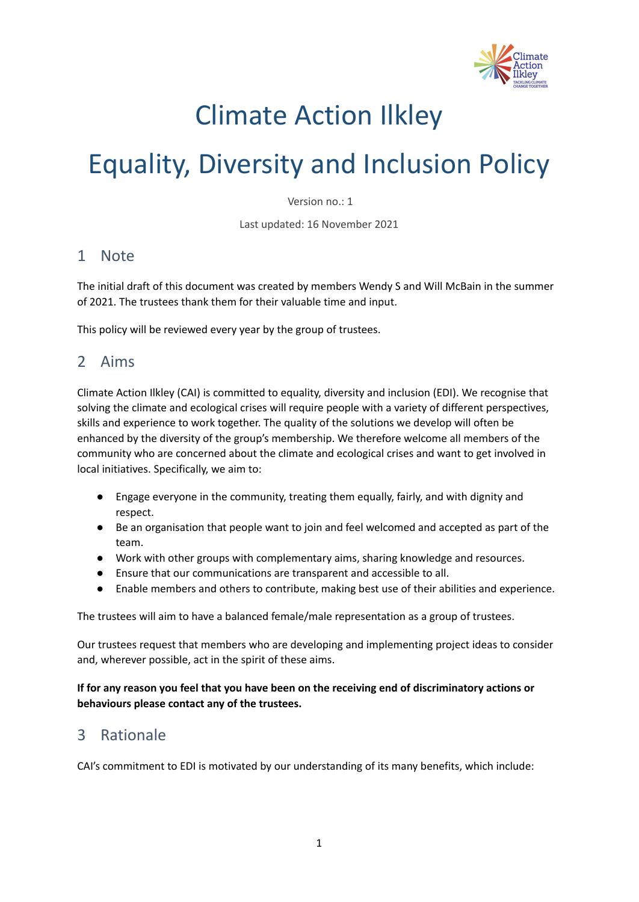

## Climate Action Ilkley

# Equality, Diversity and Inclusion Policy

Version no.: 1

Last updated: 16 November 2021

#### 1 Note

The initial draft of this document was created by members Wendy S and Will McBain in the summer of 2021. The trustees thank them for their valuable time and input.

This policy will be reviewed every year by the group of trustees.

## 2 Aims

Climate Action Ilkley (CAI) is committed to equality, diversity and inclusion (EDI). We recognise that solving the climate and ecological crises will require people with a variety of different perspectives, skills and experience to work together. The quality of the solutions we develop will often be enhanced by the diversity of the group's membership. We therefore welcome all members of the community who are concerned about the climate and ecological crises and want to get involved in local initiatives. Specifically, we aim to:

- Engage everyone in the community, treating them equally, fairly, and with dignity and respect.
- Be an organisation that people want to join and feel welcomed and accepted as part of the team.
- Work with other groups with complementary aims, sharing knowledge and resources.
- Ensure that our communications are transparent and accessible to all.
- Enable members and others to contribute, making best use of their abilities and experience.

The trustees will aim to have a balanced female/male representation as a group of trustees.

Our trustees request that members who are developing and implementing project ideas to consider and, wherever possible, act in the spirit of these aims.

#### **If for any reason you feel that you have been on the receiving end of discriminatory actions or behaviours please contact any of the trustees.**

### 3 Rationale

CAI's commitment to EDI is motivated by our understanding of its many benefits, which include: